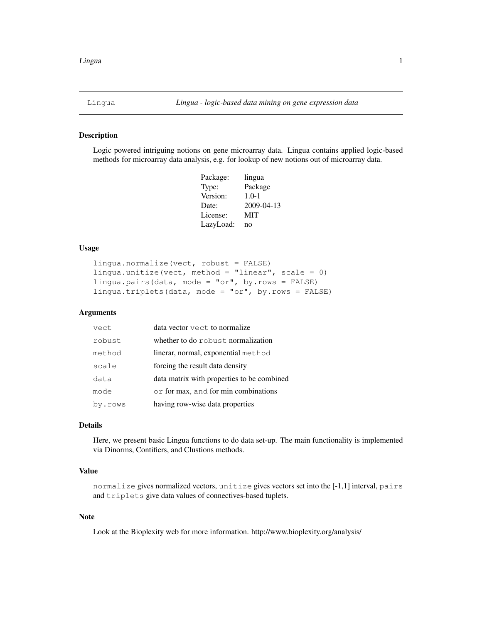## <span id="page-0-0"></span>Description

Logic powered intriguing notions on gene microarray data. Lingua contains applied logic-based methods for microarray data analysis, e.g. for lookup of new notions out of microarray data.

| Package:  | lingua     |
|-----------|------------|
| Type:     | Package    |
| Version:  | $1.0 - 1$  |
| Date:     | 2009-04-13 |
| License:  | MIT        |
| LazyLoad: | no         |

## Usage

```
lingua.normalize(vect, robust = FALSE)
lingua.unitize(vect, method = "linear", scale = 0)
lingua.pairs(data, mode = "or", by.rows = FALSE)
lingua.triplets(data, mode = "or", by.rows = FALSE)
```
# Arguments

| vect    | data vector vect to normalize              |
|---------|--------------------------------------------|
| robust  | whether to do robust normalization         |
| method  | linerar, normal, exponential method        |
| scale   | forcing the result data density            |
| data    | data matrix with properties to be combined |
| mode    | or for max, and for min combinations       |
| by.rows | having row-wise data properties            |

# Details

Here, we present basic Lingua functions to do data set-up. The main functionality is implemented via Dinorms, Contifiers, and Clustions methods.

# Value

normalize gives normalized vectors, unitize gives vectors set into the [-1,1] interval, pairs and triplets give data values of connectives-based tuplets.

# Note

Look at the Bioplexity web for more information. http://www.bioplexity.org/analysis/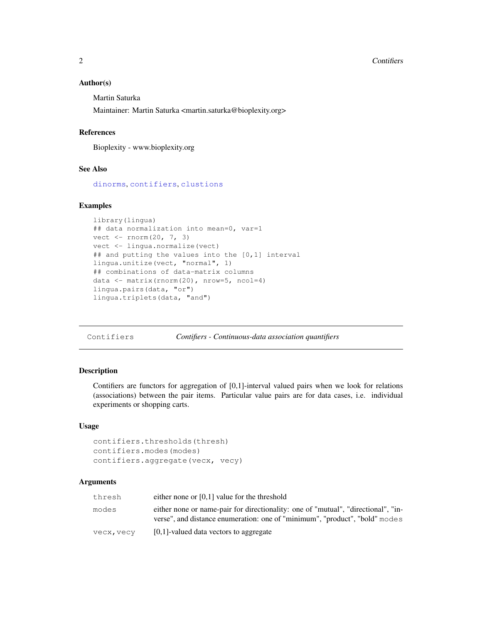### Author(s)

Martin Saturka

Maintainer: Martin Saturka <martin.saturka@bioplexity.org>

### References

Bioplexity - www.bioplexity.org

## See Also

[dinorms](#page-4-0), [contifiers](#page-1-0), [clustions](#page-2-0)

### Examples

```
library(lingua)
## data normalization into mean=0, var=1
vect <- rnorm(20, 7, 3)
vect <- lingua.normalize(vect)
## and putting the values into the [0,1] interval
lingua.unitize(vect, "normal", 1)
## combinations of data-matrix columns
data <- matrix(rnorm(20), nrow=5, ncol=4)
lingua.pairs(data, "or")
lingua.triplets(data, "and")
```
Contifiers *Contifiers - Continuous-data association quantifiers*

# <span id="page-1-0"></span>Description

Contifiers are functors for aggregation of [0,1]-interval valued pairs when we look for relations (associations) between the pair items. Particular value pairs are for data cases, i.e. individual experiments or shopping carts.

### Usage

```
contifiers.thresholds(thresh)
contifiers.modes(modes)
contifiers.aggregate(vecx, vecy)
```
## Arguments

| thresh     | either none or $[0,1]$ value for the threshold                                                                                                                   |
|------------|------------------------------------------------------------------------------------------------------------------------------------------------------------------|
| modes      | either none or name-pair for directionality: one of "mutual", "directional", "in-<br>verse", and distance enumeration: one of "minimum", "product", "bold" modes |
| vecx, vecy | [0,1]-valued data vectors to aggregate                                                                                                                           |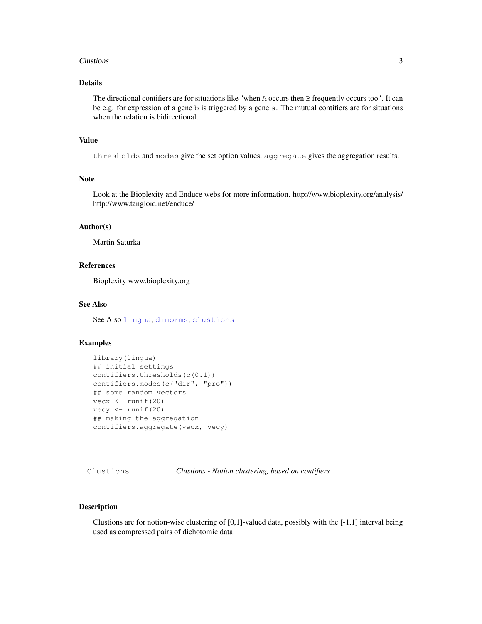### Clustions 3

# Details

The directional contifiers are for situations like "when A occurs then B frequently occurs too". It can be e.g. for expression of a gene b is triggered by a gene a. The mutual contifiers are for situations when the relation is bidirectional.

### Value

thresholds and modes give the set option values, aggregate gives the aggregation results.

### Note

Look at the Bioplexity and Enduce webs for more information. http://www.bioplexity.org/analysis/ http://www.tangloid.net/enduce/

## Author(s)

Martin Saturka

## References

Bioplexity www.bioplexity.org

# See Also

See Also [lingua](#page-0-0), [dinorms](#page-4-0), [clustions](#page-2-0)

## Examples

```
library(lingua)
## initial settings
contifiers.thresholds(c(0.1))
contifiers.modes(c("dir", "pro"))
## some random vectors
vecx \le runif(20)
vecy \leftarrow runif(20)
## making the aggregation
contifiers.aggregate(vecx, vecy)
```
Clustions *Clustions - Notion clustering, based on contifiers*

# <span id="page-2-0"></span>Description

Clustions are for notion-wise clustering of  $[0,1]$ -valued data, possibly with the  $[-1,1]$  interval being used as compressed pairs of dichotomic data.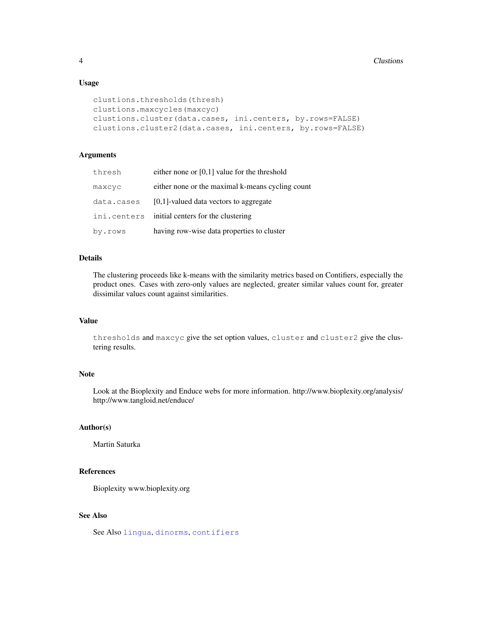## Usage

```
clustions.thresholds(thresh)
clustions.maxcycles(maxcyc)
clustions.cluster(data.cases, ini.centers, by.rows=FALSE)
clustions.cluster2(data.cases, ini.centers, by.rows=FALSE)
```
# Arguments

| thresh      | either none or $[0,1]$ value for the threshold   |
|-------------|--------------------------------------------------|
| maxcyc      | either none or the maximal k-means cycling count |
| data.cases  | [0,1]-valued data vectors to aggregate           |
| ini.centers | initial centers for the clustering               |
| by.rows     | having row-wise data properties to cluster       |

### Details

The clustering proceeds like k-means with the similarity metrics based on Contifiers, especially the product ones. Cases with zero-only values are neglected, greater similar values count for, greater dissimilar values count against similarities.

# Value

thresholds and maxcyc give the set option values, cluster and cluster2 give the clustering results.

### Note

Look at the Bioplexity and Enduce webs for more information. http://www.bioplexity.org/analysis/ http://www.tangloid.net/enduce/

## Author(s)

Martin Saturka

# References

Bioplexity www.bioplexity.org

# See Also

See Also [lingua](#page-0-0), [dinorms](#page-4-0), [contifiers](#page-1-0)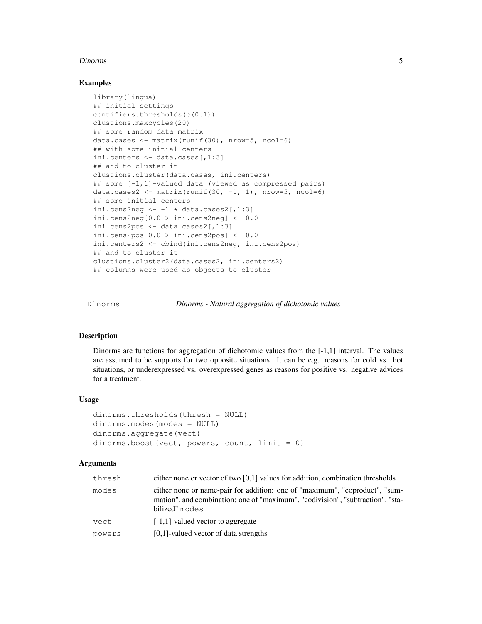### Dinorms 5

## Examples

```
library(lingua)
## initial settings
contifiers.thresholds(c(0.1))
clustions.maxcycles(20)
## some random data matrix
data.cases <- matrix(runif(30), nrow=5, ncol=6)
## with some initial centers
ini.centers <- data.cases[,1:3]
## and to cluster it
clustions.cluster(data.cases, ini.centers)
## some [-1,1]-valued data (viewed as compressed pairs)
data.cases2 <- matrix(runif(30, -1, 1), nrow=5, ncol=6)
## some initial centers
ini.cens2neg <-1 \times data.class2[, 1:3]
ini.cens2neg[0.0 > ini.cens2neg] <- 0.0
ini.cens2pos <- data.cases2[,1:3]
ini.cens2pos[0.0 > \text{ini.cens2pos}] <- 0.0ini.centers2 <- cbind(ini.cens2neg, ini.cens2pos)
## and to cluster it
clustions.cluster2(data.cases2, ini.centers2)
## columns were used as objects to cluster
```
Dinorms *Dinorms - Natural aggregation of dichotomic values*

## <span id="page-4-0"></span>**Description**

Dinorms are functions for aggregation of dichotomic values from the [-1,1] interval. The values are assumed to be supports for two opposite situations. It can be e.g. reasons for cold vs. hot situations, or underexpressed vs. overexpressed genes as reasons for positive vs. negative advices for a treatment.

### Usage

```
dinorms.thresholds(thresh = NULL)
dinorms.modes(modes = NULL)
dinorms.aggregate(vect)
dinorms.boost(vect, powers, count, limit = 0)
```
## Arguments

| thresh | either none or vector of two $[0,1]$ values for addition, combination thresholds                                                                                                |
|--------|---------------------------------------------------------------------------------------------------------------------------------------------------------------------------------|
| modes  | either none or name-pair for addition: one of "maximum", "coproduct", "sum-<br>mation", and combination: one of "maximum", "codivision", "subtraction", "sta-<br>bilized" modes |
| vect   | $[-1,1]$ -valued vector to aggregate                                                                                                                                            |
| powers | [0,1]-valued vector of data strengths                                                                                                                                           |